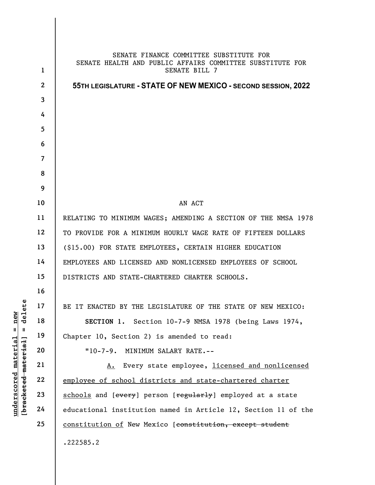|                                                                                                                           | $\mathbf{1}$   | SENATE FINANCE COMMITTEE SUBSTITUTE FOR<br>SENATE HEALTH AND PUBLIC AFFAIRS COMMITTEE SUBSTITUTE FOR<br>SENATE BILL 7 |
|---------------------------------------------------------------------------------------------------------------------------|----------------|-----------------------------------------------------------------------------------------------------------------------|
| delete<br>new<br>$\mathsf{I}$<br>$\, \, \parallel$<br><u>material</u><br>[ <del>bracketed material</del> ]<br>underscored | $\mathbf{2}$   | 55TH LEGISLATURE - STATE OF NEW MEXICO - SECOND SESSION, 2022                                                         |
|                                                                                                                           | $\mathbf{3}$   |                                                                                                                       |
|                                                                                                                           | 4              |                                                                                                                       |
|                                                                                                                           | 5              |                                                                                                                       |
|                                                                                                                           | 6              |                                                                                                                       |
|                                                                                                                           | $\overline{7}$ |                                                                                                                       |
|                                                                                                                           | 8              |                                                                                                                       |
|                                                                                                                           | 9              |                                                                                                                       |
|                                                                                                                           | 10             | AN ACT                                                                                                                |
|                                                                                                                           | 11             | RELATING TO MINIMUM WAGES; AMENDING A SECTION OF THE NMSA 1978                                                        |
|                                                                                                                           | 12             | TO PROVIDE FOR A MINIMUM HOURLY WAGE RATE OF FIFTEEN DOLLARS                                                          |
|                                                                                                                           | 13             | (\$15.00) FOR STATE EMPLOYEES, CERTAIN HIGHER EDUCATION                                                               |
|                                                                                                                           | 14             | EMPLOYEES AND LICENSED AND NONLICENSED EMPLOYEES OF SCHOOL                                                            |
|                                                                                                                           | 15             | DISTRICTS AND STATE-CHARTERED CHARTER SCHOOLS.                                                                        |
|                                                                                                                           | 16             |                                                                                                                       |
|                                                                                                                           | 17             | BE IT ENACTED BY THE LEGISLATURE OF THE STATE OF NEW MEXICO:                                                          |
|                                                                                                                           | 18             | SECTION 1. Section 10-7-9 NMSA 1978 (being Laws 1974,                                                                 |
|                                                                                                                           | 19             | Chapter 10, Section 2) is amended to read:                                                                            |
|                                                                                                                           | 20             | $"10-7-9.$<br>MINIMUM SALARY RATE.--                                                                                  |
|                                                                                                                           | 21             | A. Every state employee, licensed and nonlicensed                                                                     |
|                                                                                                                           | 22             | employee of school districts and state-chartered charter                                                              |
|                                                                                                                           | 23             | schools and [every] person [regularly] employed at a state                                                            |
|                                                                                                                           | 24             | educational institution named in Article 12, Section 11 of the                                                        |
|                                                                                                                           | 25             | constitution of New Mexico [constitution, except student                                                              |
|                                                                                                                           |                | .222585.2                                                                                                             |
|                                                                                                                           |                |                                                                                                                       |